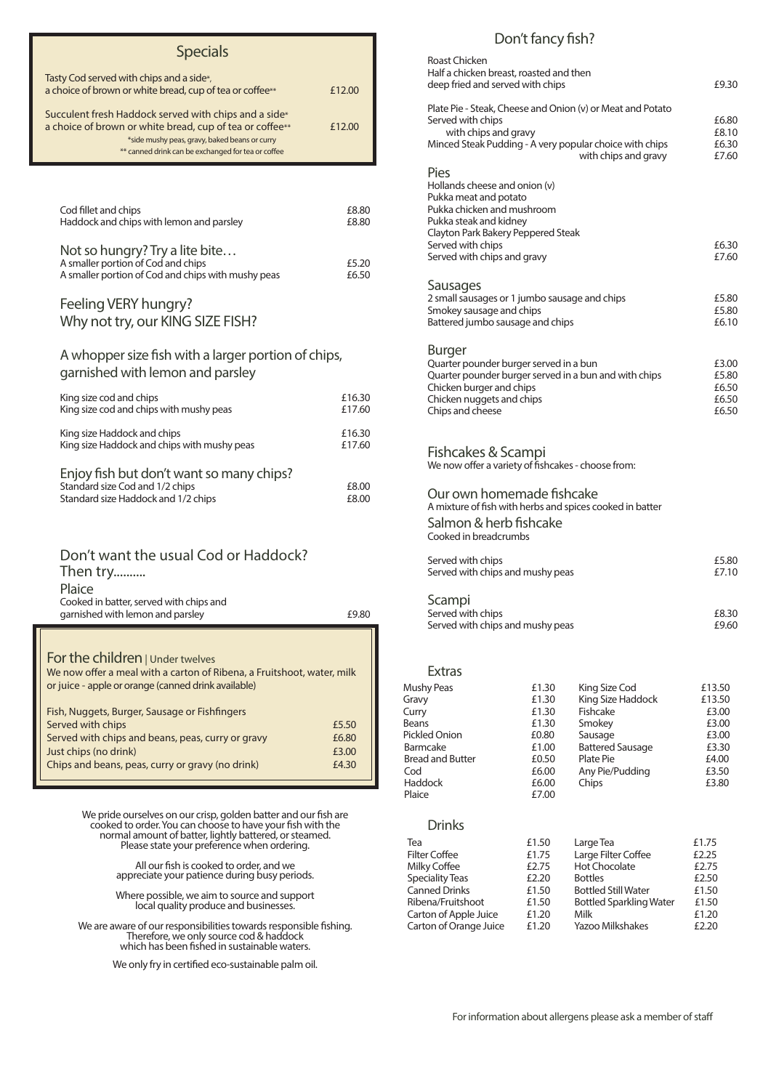| Cod fillet and chips                     | £8.80 |
|------------------------------------------|-------|
| Haddock and chips with lemon and parsley | £8.80 |
|                                          |       |

| Not so hungry? Try a lite bite                     |       |
|----------------------------------------------------|-------|
| A smaller portion of Cod and chips                 | £5.20 |
| A smaller portion of Cod and chips with mushy peas | £6.50 |

### Feeling VERY hungry? Why not try, our KING SIZE FISH?

#### A whopper size fish with a larger portion of chips, garnished with lemon and parsley

### Don't want the usual Cod or Haddock? Then try.......... Plaice Cooked in batter, served with chips and garnished with lemon and parsley **E**9.80

#### For the children | Under twelves

| King size cod and chips                                                     | £16.30 |
|-----------------------------------------------------------------------------|--------|
| King size cod and chips with mushy peas                                     | £17.60 |
| King size Haddock and chips                                                 | £16.30 |
| King size Haddock and chips with mushy peas                                 | £17.60 |
| Enjoy fish but don't want so many chips?<br>Standard size Cod and 1/2 chips | £8.00  |
| Standard size Haddock and 1/2 chips                                         | £8.00  |

We are aware of our responsibilities towards responsible fishing.<br>Therefore, we only source cod & haddock which has been fished in sustainable waters.

cooked to order. You can choose to have your fish with the normal amount of batter, lightly battered, or steamed. Please state your preference when ordering.

> All our fish is cooked to order, and we appreciate your patience during busy periods.

> Where possible, we aim to source and support local quality produce and businesses.

We only fry in certified eco-sustainable palm oil.

| <b>Roast Chicken</b><br>Half a chicken breast, roasted and then<br>deep fried and served with chips                                                                                                                     |                                                             |                                                                                                                                               | £9.30                                                         |
|-------------------------------------------------------------------------------------------------------------------------------------------------------------------------------------------------------------------------|-------------------------------------------------------------|-----------------------------------------------------------------------------------------------------------------------------------------------|---------------------------------------------------------------|
| Served with chips<br>with chips and gravy                                                                                                                                                                               |                                                             | Plate Pie - Steak, Cheese and Onion (v) or Meat and Potato<br>Minced Steak Pudding - A very popular choice with chips<br>with chips and gravy | £6.80<br>£8.10<br>£6.30<br>£7.60                              |
| <b>Pies</b><br>Hollands cheese and onion (v)<br>Pukka meat and potato<br>Pukka chicken and mushroom<br>Pukka steak and kidney<br>Clayton Park Bakery Peppered Steak<br>Served with chips<br>Served with chips and gravy |                                                             |                                                                                                                                               | £6.30<br>£7.60                                                |
| <b>Sausages</b><br>2 small sausages or 1 jumbo sausage and chips<br>Smokey sausage and chips<br>Battered jumbo sausage and chips                                                                                        |                                                             |                                                                                                                                               | £5.80<br>£5.80<br>£6.10                                       |
| <b>Burger</b><br>Quarter pounder burger served in a bun<br>Chicken burger and chips<br>Chicken nuggets and chips<br>Chips and cheese                                                                                    |                                                             | Quarter pounder burger served in a bun and with chips                                                                                         | £3.00<br>£5.80<br>£6.50<br>£6.50<br>£6.50                     |
| Fishcakes & Scampi<br>We now offer a variety of fishcakes - choose from:                                                                                                                                                |                                                             |                                                                                                                                               |                                                               |
| Our own homemade fishcake<br>Salmon & herb fishcake<br>Cooked in breadcrumbs                                                                                                                                            |                                                             | A mixture of fish with herbs and spices cooked in batter                                                                                      |                                                               |
| Served with chips<br>Served with chips and mushy peas                                                                                                                                                                   |                                                             |                                                                                                                                               | £5.80<br>£7.10                                                |
| Scampi<br>Served with chips<br>Served with chips and mushy peas                                                                                                                                                         |                                                             |                                                                                                                                               | £8.30<br>£9.60                                                |
| <b>Extras</b>                                                                                                                                                                                                           |                                                             |                                                                                                                                               |                                                               |
| <b>Mushy Peas</b><br>Gravy<br>Curry<br><b>Beans</b><br><b>Pickled Onion</b><br><b>Barmcake</b><br><b>Bread and Butter</b>                                                                                               | £1.30<br>£1.30<br>£1.30<br>£1.30<br>£0.80<br>£1.00<br>£0.50 | King Size Cod<br>King Size Haddock<br>Fishcake<br>Smokey<br>Sausage<br><b>Battered Sausage</b><br><b>Plate Pie</b>                            | £13.50<br>£13.50<br>£3.00<br>£3.00<br>£3.00<br>£3.30<br>£4.00 |
| Cod                                                                                                                                                                                                                     | £6.00                                                       | Any Pie/Pudding                                                                                                                               | £3.50                                                         |

#### Drinks

Haddock **E6.00** Plaice  $£7.00$ 

> £1.50 £1.75 £2.75  $£2.20$  $£1.50$  $£1.50$  $£1.20$

For information about allergens please ask a member of staff

## Specials

| Tasty Cod served with chips and a side*,<br>a choice of brown or white bread, cup of tea or coffee**                                                                                                                     | £12.00 |
|--------------------------------------------------------------------------------------------------------------------------------------------------------------------------------------------------------------------------|--------|
| Succulent fresh Haddock served with chips and a side*<br>a choice of brown or white bread, cup of tea or coffee**<br>*side mushy peas, gravy, baked beans or curry<br>** canned drink can be exchanged for tea or coffee | £12.00 |
|                                                                                                                                                                                                                          |        |

| iea                    | <b>LI.JU</b> |
|------------------------|--------------|
| <b>Filter Coffee</b>   | £1.75        |
| Milky Coffee           | £2.75        |
| <b>Speciality Teas</b> | £2.20        |
| <b>Canned Drinks</b>   | £1.50        |
| Ribena/Fruitshoot      | £1.50        |
| Carton of Apple Juice  | £1.20        |
| Carton of Orange Juice | £1.20        |

| Large Tea                      | £1.75 |
|--------------------------------|-------|
| Large Filter Coffee            | £2.25 |
| <b>Hot Chocolate</b>           | £2.75 |
| <b>Bottles</b>                 | £2.50 |
| <b>Bottled Still Water</b>     | £1.50 |
| <b>Bottled Sparkling Water</b> | £1.50 |
| Milk                           | £1.20 |
| <b>Yazoo Milkshakes</b>        | £2.20 |

Chips **£3.80** 

We now offer a meal with a carton of Ribena, a Fruitshoot, water, milk or juice - apple or orange (canned drink available)

| Fish, Nuggets, Burger, Sausage or Fishfingers     |       |
|---------------------------------------------------|-------|
| Served with chips                                 | £5.50 |
| Served with chips and beans, peas, curry or gravy | £6.80 |
| Just chips (no drink)                             | £3.00 |
| Chips and beans, peas, curry or gravy (no drink)  | £4.30 |
|                                                   |       |

## Don't fancy fish?